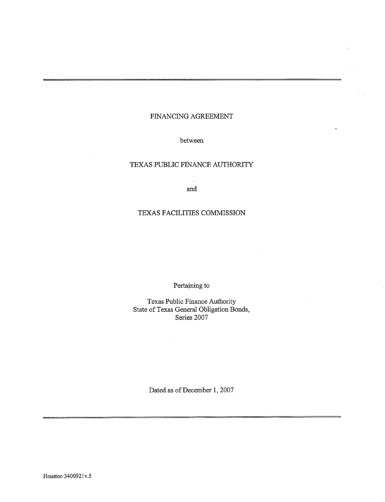## FINANCING AGREEMENT

 $\ddotsc$ 

## between

## TEXAS PUBLIC FINANCE AUTHORITY

 $\mathcal{L}_{\mathcal{A}}$ and

## TEXAS FACILITIES COMMISSION

Pertaining to

Texas Public Finance Authority State of Texas General Obligation Bonds, Series 2007

Dated as of December 1, 2007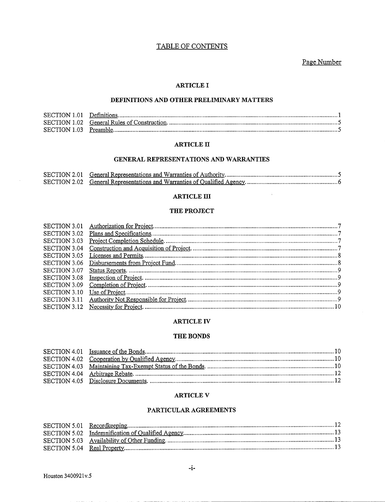## TABLE OF CONTENTS

Page Number

 $\mathbb{C}$ 

#### **ARTICLE I**

## DEFINITIONS AND OTHER PRELIMINARY MATTERS

## **ARTICLE II**

## GENERAL REPRESENTATIONS AND WARRANTIES

#### **ARTICLE III**

#### THE PROJECT

#### **ARTICLE IV**

#### THE BONDS

#### **ARTICLE V**

## PARTICULAR AGREEMENTS

 $\mathcal{L}$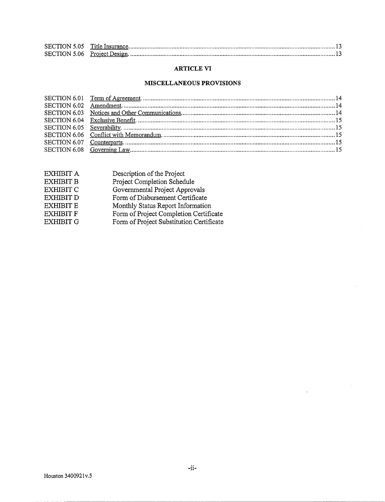## **ARTICLE VI**

## **MISCELLANEOUS PROVISIONS**

| EXHIBIT A        | Description of the Project               |
|------------------|------------------------------------------|
| <b>EXHIBIT B</b> | Project Completion Schedule              |
| <b>EXHIBIT C</b> | Governmental Project Approvals           |
| <b>EXHIBIT D</b> | Form of Disbursement Certificate         |
| <b>EXHIBIT E</b> | Monthly Status Report Information        |
| <b>EXHIBIT F</b> | Form of Project Completion Certificate   |
| <b>EXHIBIT G</b> | Form of Project Substitution Certificate |
|                  |                                          |

 $\hat{\mathcal{A}}$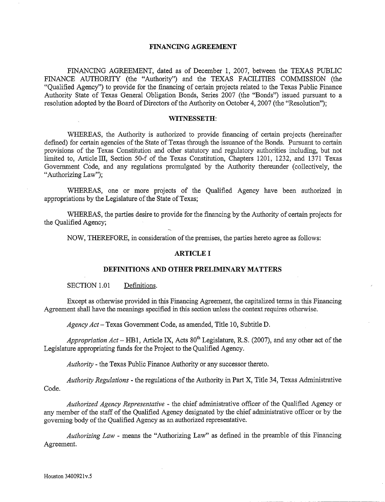## **FINANCING AGREEMENT**

FINANCING AGREEMENT, dated as of December 1, 2007, between the TEXAS PUBLIC FINANCE AUTHORITY (the "Authority") and the TEXAS FACILITIES COMMISSION (the "Qualified Agency") to provide for the financing of certain projects related to the Texas Public Finance Authority State of Texas General Obligation Bonds, Series 2007 (the "Bonds") issued pursuant to a resolution adopted by the Board of Directors of the Authority on October 4, 2007 (the "Resolution");

## **WITNESSETH:**

WHEREAS, the Authority is authorized to provide financing of certain projects (hereinafter defined) for certain agencies of the State of Texas through the issuance of the Bonds. Pursuant to certain provisions of the Texas Constitution and other statutory and regulatory authorities including, but not limited to, Article III, Section 50-f of the Texas Constitution, Chapters 1201, 1232, and 1371 Texas Government Code, and any regulations promulgated by the Authority thereunder (collectively, the "Authorizing Law");

WHEREAS, one or more projects of the Qualified Agency have been authorized in appropriations by the Legislature of the State of Texas;

WHEREAS, the parties desire to provide for the financing by the Authority of certain projects for the Qualified Agency;

NOW, THEREFORE, in consideration of the premises, the parties hereto agree as follows:

## **ARTICLE I**

## **DEFINITIONS AND OTHER PRELIMINARY MATTERS**

SECTION 1.01 Definitions.

Except as otherwise provided in this Financing Agreement, the capitalized terms in this Financing Agreement shall have the meanings specified in this section unless the context requires otherwise.

*Agency Act-* Texas Government Code, as amended, Title 10, Subtitle **D.** 

*Appropriation Act* – HB1, Article IX, Acts  $80^{th}$  Legislature, R.S. (2007), and any other act of the Legislature appropriating funds for the Project to the Qualified Agency.

*Authority* - the Texas Public Finance Authority or any successor thereto.

*Authority Regulations* - the regulations of the Authority in Part X, Title 34, Texas Administrative Code.

*Authorized Agency Representative* - the chief administrative officer of the Qualified Agency or any member of the staff of the Qualified Agency designated by the chief administrative officer or by the governing body of the Qualified Agency as an authorized representative.

*Authorizing Law* - means the "Authorizing Law" as defmed in the preamble of this Financing Agreement.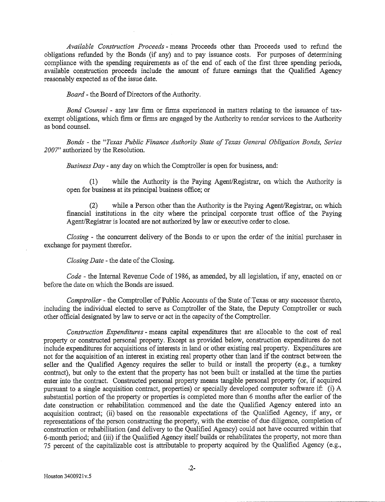*Available Construction Proceeds* - means Proceeds other than Proceeds used to refund the obligations refunded by the Bonds (if any) and to pay issuance costs. For purposes of determining compliance with the spending requirements as of the end of each of the first three spending periods, available construction proceeds include the amount of future earnings that the Qualified Agency reasonably expected as of the issue date.

*Board-* the Board of Directors of the Authority.

*Bond Counsel* - any law firm or firms experienced in matters relating to the issuance of taxexempt obligations, which firm or firms are engaged by the Authority to render services to the Authority as bond counsel.

*Bonds* - the *"Texas Public Finance Authority State of Texas General Obligation Bonds, Series 2007"* authorized by the Resolution.

*Business Day* - any day on which the Comptroller is open for business, and:

(1) while the Authority is the Paying Agent/Registrar, on which the Authority is open for business at its principal business office; or

(2) while a Person other than the Authority is the Paying Agent/Registrar, on which financial institutions in the city where the principal corporate trust office of the Paying Agent/Registrar is located are not authorized by law or executive order to close.

*Closing* - the concurrent delivery of the Bonds to or upon the order of the initial purchaser in exchange for payment therefor.

*Closing Date* - the date of the Closing.

*Code-* the Internal Revenue Code of 1986, as amended, by all legislation, if any, enacted on or before the date on which the Bonds are issued.

*Comptroller-* the Comptroller of Public Accounts of the State of Texas or any successor thereto, including the individual elected to serve as Comptroller of the State, the Deputy Comptroller or such other official designated by law to serve or act in the capacity of the Comptroller.

*Construction Expenditures* - means capital expenditures that are allocable to the cost of real property or constructed personal property. Except as provided below, construction expenditures do not include expenditures for acquisitions of interests in land or other existing real property. Expenditures are not for the acquisition of an interest in existing real property other than land if the contract between the seller and the Qualified Agency requires the seller to build or install the property (e.g., a turnkey contract), but only to the extent that the property has not been built or installed at the time the parties enter into the contract. Constructed personal property means tangible personal property (or, if acquired pursuant to a single acquisition contract, properties) or specially developed computer software if: (i) A substantial portion of the property or properties is completed more than 6 months after the earlier of the date construction or rehabilitation commenced and the date the Qualified Agency entered into an acquisition contract; (ii) based on the reasonable expectations of the Qualified Agency, if any, or representations of the person constructing the property, with the exercise of due diligence, completion of construction or rehabilitation (and delivery to the Qualified Agency) could not have occurred within that 6-month period; and (iii) if the Qualified Agency itself builds or rehabilitates the property, not more than 75 percent of the capitalizable cost is attributable to property acquired by the Qualified Agency (e.g.,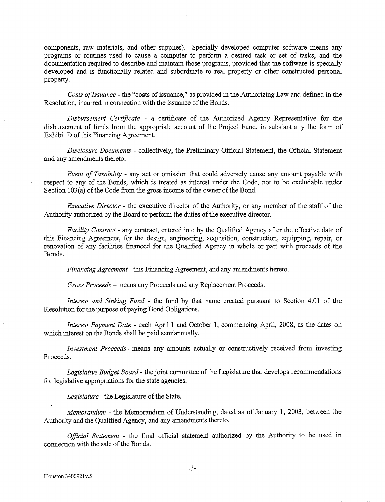components, raw materials, and other supplies). Specially developed computer software means any programs or routines used to cause a computer to perform a desired task or set of tasks, and the documentation required to describe and maintain those programs, provided that the software is specially developed and is functionally related and subordinate to real property or other constructed personal property.

*Costs of Issuance* - the "costs of issuance," as provided in the Authorizing Law and defined in the Resolution, incurred in connection with the issuance of the Bonds.

*Disbursement Certificate* - a certificate of the Authorized Agency Representative for the disbursement of funds from the appropriate account of the Project Fund, in substantially the form of Exhibit D of this Financing Agreement.

*Disclosure Documents-* collectively, the Preliminary Official Statement, the Official Statement and any amendments thereto.

*Event of Taxability* - any act or omission that could adversely cause any amount payable with respect to any of the Bonds, which is treated as interest under the Code, not to be excludable under Section 103(a) of the Code from the gross income of the owner of the Bond.

*Executive Director* - the executive director of the Authority, or any member of the staff of the Authority authorized by the Board to perform the duties of the executive director.

*Facility Contract* - any contract, entered into by the Qualified Agency after the effective date of this Financing Agreement, for the design, engineering, acquisition, construction, equipping, repair, or renovation of any facilities financed for the Qualified Agency in whole or part with proceeds of the Bonds.

*Financing Agreement-* this Financing Agreement, and any amendments hereto.

*Gross Proceeds-* means any Proceeds and any Replacement Proceeds.

*Interest and Sinking Fund* - the fund by that name created pursuant to Section 4.01 of the Resolution for the purpose of paying Bond Obligations.

*Interest Payment Date - each April 1 and October 1, commencing April, 2008, as the dates on* which interest on the Bonds shall be paid semiannually.

*Investment Proceeds* - means any amounts actually or constructively received from investing Proceeds.

*Legislative Budget Board-* the joint committee of the Legislature that develops recommendations for legislative appropriations for the state agencies.

*Legislature-* the Legislature of the State.

*Memorandum-* the Memorandum of Understanding, dated as of January 1, 2003, between the Authority and the Qualified Agency, and any amendments thereto.

*Official Statement* - the final official statement authorized by the Authority to be used in connection with the sale of the Bonds.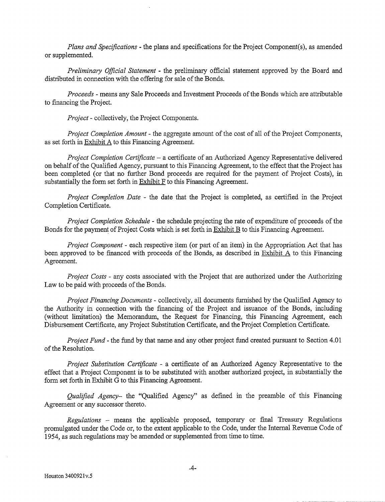*Plans and Specifications-* the plans and specifications for the Project Component(s), as amended or supplemented.

*Preliminary Official Statement* - the preliminary official statement approved by the Board and distributed in connection with the offering for sale of the Bonds.

*Proceeds* - means any Sale Proceeds and Investment Proceeds of the Bonds which are attributable to financing the Project.

*Project-* collectively, the Project Components.

*Project Completion Amount-* the aggregate amount of the cost of all of the Project Components, as set forth in Exhibit A to this Financing Agreement.

*Project Completion Certificate* - a certificate of an Authorized Agency Representative delivered on behalf of the Qualified Agency, pursuant to this Financing Agreement, to the effect that the Project has been completed (or that no further Bond proceeds are required for the payment of Project Costs), in substantially the form set forth in  $Exhibit F$  to this Financing Agreement.

*Project Completion Date* - the date that the Project is completed, as certified in the Project Completion Certificate.

*Project Completion Schedule* - the schedule projecting the rate of expenditure of proceeds of the Bonds for the payment of Project Costs which is set forth in Exhibit B to this Financing Agreement.

*Project Component* - each respective item (or part of an item) in the Appropriation Act that has been approved to be financed with proceeds of the Bonds, as described in Exhibit A to this Financing Agreement.

*Project Costs-* any costs associated with the Project that are authorized under the Authorizing Law to be paid with proceeds of the Bonds.

*Project Financing Documents* - collectively, all documents furnished by the Qualified Agency to the Authority in connection with the fmancing of the Project and issuance of the Bonds, including (without limitation) the Memorandum, the Request for Financing, this Financing Agreement, each Disbursement Certificate, any Project Substitution Certificate, and the Project Completion Certificate.

*Project Fund-* the fund by that name and any other project fund created pursuant to Section 4.01 of the Resolution.

*Project Substitution Certificate* - a certificate of an Authorized Agency Representative to the effect that a Project Component is to be substituted with another authorized project, in substantially the form set forth in Exhibit G to this Financing Agreement.

*Qualified Agency*- the "Qualified Agency" as defined in the preamble of this Financing Agreement or any successor thereto.

*Regulations* - means the applicable proposed, temporary or fmal Treasury Regulations promulgated under the Code or, to the extent applicable to the Code, under the Internal Revenue Code of 1954, as such regulations may be amended or supplemented from time to time.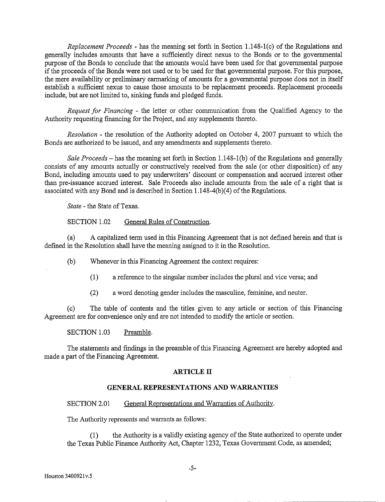*Replacement Proceeds-* has the meaning set forth in Section 1.148-l(c) of the Regulations and generally includes amounts that have a sufficiently direct nexus to the Bonds or to the governmental purpose of the Bonds to conclude that the amounts would have been used for that governmental purpose if the proceeds of the Bonds were not used or to be used for that governmental purpose. For this purpose, the mere availability or preliminary earmarking of amounts for a governmental purpose does not in itself establish a sufficient nexus to cause those amounts to be replacement proceeds. Replacement proceeds include, but are not limited to, sinking funds and pledged funds.

*Request for Financing* - the letter or other communication from the Qualified Agency to the Authority requesting financing for the Project, and any supplements thereto.

*Resolution* - the resolution of the Authority adopted on October 4, 2007 pursuant to which the Bonds are authorized to be issued, and any amendments and supplements thereto.

*Sale Proceeds-* has the meaning set forth in Section 1.148-1 (b) of the Regulations and generally consists of any amounts actually or constructively received from the sale (or other disposition) of any Bond, including amounts used to pay underwriters' discount or compensation and accrued interest other than pre-issuance accrued interest. Sale Proceeds also include amounts from the sale of a right that is associated with any Bond and is described in Section  $1.148-4(b)(4)$  of the Regulations.

*State* - the State of Texas.

## SECTION 1.02 General Rules of Construction.

(a) A capitalized term used in this Financing Agreement that is not defined herein and that is defined in the Resolution shall have the meaning assigned to it in the Resolution.

(b) Whenever in this Financing Agreement the context requires:

- (I) a reference to the singular number includes the plural and vice versa; and
- (2) a word denoting gender includes the masculme, feminine, and neuter.

(c) The table of contents and the titles given to any article or section of this Financing Agreement are for convenience only and are not intended to modify the article or section.

SECTION 1.03 Preamble.

The statements and findings in the preamble of this Financing Agreement are hereby adopted and made a part of the Financing Agreement.

## **ARTICLE IT**

## **GENERAL REPRESENTATIONS AND WARRANTIES**

## SECTION 2.01 General Representations and Warranties of Authority.

The Authority represents and warrants as follows:

(1) the Authority is a validly existing agency of the State authorized to operate under the Texas Public Finance Authority Act, Chapter 1232, Texas Government Code, as amended;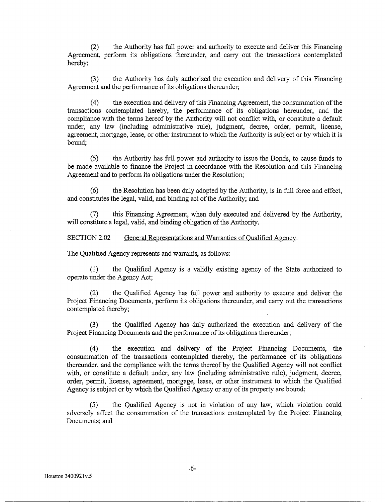(2) the Authority has full power and authority to execute and deliver this Financing Agreement, perform its obligations thereunder, and carry out the transactions contemplated hereby;

(3) the Authority has duly authorized the execution and delivery of this Financing Agreement and the performance of its obligations thereunder;

(4) the execution and delivery of this Financing Agreement, the consummation of the transactions contemplated hereby, the performance of its obligations hereunder, and the compliance with the tenns hereof by the Authority will not conflict with, or constitute a default under, any law (including administrative rule), judgment, decree, order, pennit, license, agreement, mortgage, lease, or other instrument to which the Authority is subject or by which it is bound;

(5) the Authority has full power and authority to issue the Bonds, to cause funds to be made available to finance the Project in accordance with the Resolution and this Financing Agreement and to perform its obligations under the Resolution;

(6) the Resolution has been duly adopted by the Authority, is in full force and effect, and constitutes the legal, valid, and binding act of the Authority; and

this Financing Agreement, when duly executed and delivered by the Authority, will constitute a legal, valid, and binding obligation of the Authority.

SECTION 2.02 General Representations and Warranties of Qualified Agency.

The Qualified Agency represents and warrants, as follows:

(1) the Qualified Agency is a validly existing agency of the State authorized to operate under the Agency Act;

(2) the Qualified Agency has full power and authority to execute and deliver the Project Financing Documents, perform its obligations thereunder, and carry out the transactions contemplated thereby;

(3) the Qualified Agency has duly authorized the execution and delivery of the Project Financing Documents and the performance of its obligations thereunder;

(4) the execution and delivery of the Project Financing Documents, the consummation of the transactions contemplated thereby, the perfonnance of its obligations thereunder, and the compliance with the terms thereof by the Qualified Agency will not conflict with, or constitute a default under, any law (including administrative rule), judgment, decree, order, pennit, license, agreement, mortgage, lease, or other instrument to which the Qualified Agency is subject or by which the Qualified Agency or any of its property are bound;

(5) the Qualified Agency is not in violation of any law, which violation could adversely affect the consummation of the transactions contemplated by the Project Financing Documents; and

-------------------- ----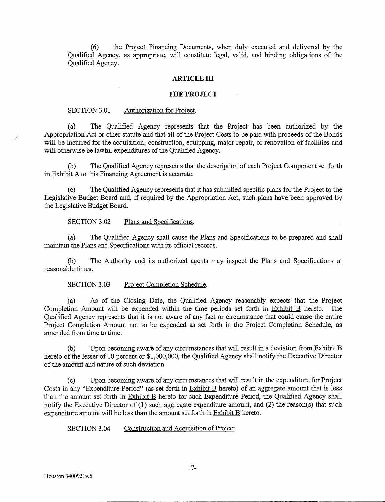(6) the Project Financing Documents, when duly executed and delivered by the Qualified Agency, as appropriate, will constitute legal, valid, and binding obligations of the Qualified Agency.

#### **ARTICLElll**

#### **THE PROJECT**

#### SECTION 3.01 Authorization for Project.

(a) The Qualified Agency represents that the Project has been authorized by the Appropriation Act or other statute and that all of the Project Costs to be paid with proceeds of the Bonds will be incurred for the acquisition, construction, equipping, major repair, or renovation of facilities and will otherwise be lawful expenditures of the Qualified Agency.

(b) The Qualified Agency represents that the description of each Project Component set forth in Exhibit A to this Financing Agreement is accurate.

(c) The Qualified Agency represents that it has submitted specific plans for the Project to the Legislative Budget Board and, if required by the Appropriation Act, such plans have been approved by the Legislative Budget Board.

## SECTION 3.02 Plans and Specifications.

(a) The Qualified Agency shall cause the Plans and Specifications to be prepared and shall maintain the Plans and Specifications with its official records.

(b) The Authority and its authorized agents may inspect the Plans and Specifications at reasonable times.

## SECTION 3.03 Project Completion Schedule.

(a) As of the Closing Date, the Qualified Agency reasonably expects that the Project Completion Amount will be expended within the time periods set forth in Exhibit B hereto. The Qualified Agency represents that it is not aware of any fact or circumstance that could cause the entire Project Completion Amount not to be expended as set forth in the Project Completion Schedule, as amended from time to time.

(b) Upon becoming aware of any circumstances that will result in a deviation from  $Exhibit B$ hereto of the lesser of 10 percent or \$1,000,000, the Qualified Agency shall notify the Executive Director of the amount and nature of such deviation.

(c) Upon becoming aware of any circumstances that will result in the expenditure for Project Costs in any "Expenditure Period" (as set forth in Exhibit B hereto) of an aggregate amount that is less than the amount set forth in Exhibit B hereto for such Expenditure Period, the Qualified Agency shall notify the Executive Director of (1) such aggregate expenditure amount, and (2) the reason(s) that such expenditure amount will be less than the amount set forth in Exhibit B hereto.

SECTION 3.04 Construction and Acquisition of Project.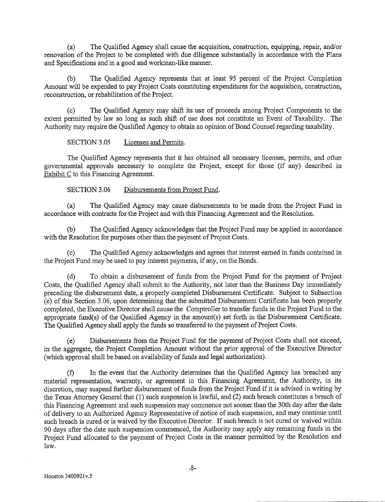(a) The Qualified Agency shall cause the acquisition, construction, equipping, repair, and/or renovation of the Project to be completed with due diligence substantially in accordance with the Plans and Specifications and in a good and workman-like manner.

The Qualified Agency represents that at least 95 percent of the Project Completion Amount will be expended to pay Project Costs constituting expenditures for the acquisition, construction, reconstruction, or rehabilitation of the Project.

(c) The Qualified Agency may shift its use of proceeds among Project Components to the extent permitted by law so long as such shift of use does not constitute an Event of Taxability. The Authority may require the Qualified Agency to obtain an opinion of Bond Counsel regarding taxability.

SECTION 3.05 Licenses and Permits.

The Qualified Agency represents that it has obtained all necessary licenses, permits, and other governmental approvals necessary to complete the Project, except for those (if any) described in Exhibit C to this Financing Agreement.

SECTION 3.06 Disbursements from Project Fund.

(a) The Qualified Agency may cause disbursements to be made from the Project Fund in accordance with contracts for the Project and with this Financing Agreement and the Resolution.

(b) The Qualified Agency acknowledges that the Project Fund may be applied in accordance with the Resolution for purposes other than the payment of Project Costs.

The Qualified Agency acknowledges and agrees that interest earned in funds contained in the Project Fund may be used to pay interest payments, if any, on the Bonds.

(d) To obtain a disbursement of funds from the Project Fund for the payment of Project Costs, the Qualified Agency shall submit to the Authority, not later than the Business Day immediately preceding the disbursement date, a properly completed Disbursement Certificate. Subject to Subsection (e) of this Section 3.06, upon determining that the submitted Disbursement Certificate has been properly completed, the Executive Director shall cause the Comptroller to transfer funds in the Project Fund to the appropriate fund(s) of the Qualified Agency in the amount(s) set forth in the Disbursement Certificate. The Qualified Agency shall apply the funds so transferred to the payment of Project Costs.

(e) Disbursements from the Project Fund for the payment of Project Costs shall not exceed, in the aggregate, the Project Completion Amount without the prior approval of the Executive Director (which approval shall be based on availability of funds and legal authorization).

(f) In the event that the Authority determines that the Qualified Agency has breached any material representation, warranty, or agreement in this Financing Agreement, the Authority, in its discretion, may suspend further disbursement of funds from the Project Fund if it is advised in writing by the Texas Attorney General that (1) such suspension is lawful, and (2) such breach constitutes a breach of this Financing Agreement and such suspension may commence not sooner than the 30th day after the date of delivery to an Authorized Agency Representative of notice of such suspension, and may continue until such breach is cured or is waived by the Executive Director. If such breach is not cured or waived within 90 days after the date such suspension commenced, the Authority may apply any remaining funds in the Project Fund allocated to the payment of Project Costs in the manner permitted by the Resolution and law.

--- ------ ------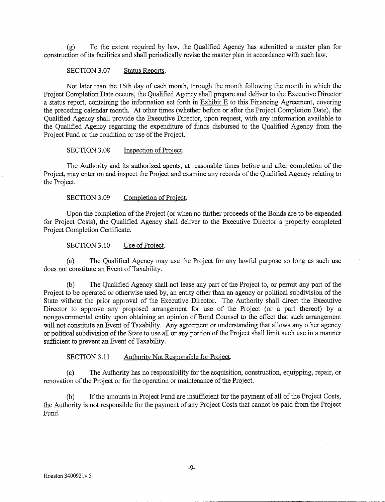(g) To the extent required by law, the Qualified Agency has submitted a master plan for construction of its facilities and shall periodically revise the master plan in accordance with such law.

SECTION 3.07 Status Reports.

Not later than the 15th day of each month, through the month following the month in which the Project Completion Date occurs, the Qualified Agency shall prepare and deliver to the Executive Director a status report, containing the information set forth in Exhibit E to this Financing Agreement, covering the preceding calendar month. At other times (whether before or after the Project Completion Date), the Qualified Agency shall provide the Executive Director, upon request, with any information available to the Qualified Agency regarding the expenditure of funds disbursed to the Qualified Agency from the Project Fund or the condition or use of the Project.

SECTION 3.08 Inspection of Project.

The Authority and its authorized agents, at reasonable times before and after completion of the Project, may enter on and inspect the Project and examine any records of the Qualified Agency relating to the Project.

SECTION 3.09 Completion of Project.

Upon the completion of the Project (or when no further proceeds of the Bonds are to be expended for Project Costs), the Qualified Agency shall deliver to the Executive Director a properly completed Project Completion Certificate.

SECTION 3.10 Use of Project.

(a) The Qualified Agency may use the Project for any lawful purpose so long as such use does not constitute an Event of Taxability.

(b) The Qualified Agency shall not lease any part of the Project to, or permit any part of the Project to be operated or otherwise used by, an entity other than an agency or political subdivision of the State without the prior approval of the Executive Director. The Authority shall direct the Executive Director to approve any proposed arrangement for use of the Project (or a part thereof) by a nongovernmental entity upon obtaining an opinion of Bond Counsel to the effect that such arrangement will not constitute an Event of Taxability. Any agreement or understanding that allows any other agency or political subdivision of the State to use all or any portion of the Project shall limit such use in a manner sufficient to prevent an Event of Taxability.

SECTION 3.11 Authority Not Responsible for Project.

(a) The Authority has no responsibility for the acquisition, construction, equipping, repair, or renovation of the Project or for the operation or maintenance of the Project.

(b) If the amounts in Project Fund are insufficient for the payment of all of the Project Costs, the Authority is not responsible for the payment of any Project Costs that cannot be paid from the Project Fund.

--------~----··----~---------~--- ·-- ·-·---- --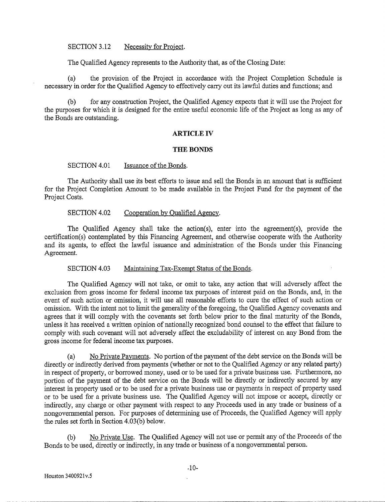#### SECTION 3.12 Necessity for Project.

The Qualified Agency represents to the Authority that, as of the Closing Date:

(a) the provision of the Project in accordance with the Project Completion Schedule is necessary in order for the Qualified Agency to effectively carry out its lawful duties and functions; and

(b) for any construction Project, the Qualified Agency expects that it will use the Project for the purposes for which it is designed for the entire useful economic life of the Project as long as any of the Bonds are outstanding.

#### **ARTICLE IV**

## **THE BONDS**

SECTION 4.01 Issuance of the Bonds.

The Authority shall use its best efforts to issue and sell the Bonds in an amount that is sufficient for the Project Completion Amount to be made available in the Project Fund for the payment of the Project Costs.

#### SECTION 4.02 Cooperation by Oualified Agency.

The Qualified Agency shall take the action(s), enter into the agreement(s), provide the certification(s) contemplated by this Financing Agreement, and otherwise cooperate with the Authority and its agents, to effect the lawful issuance and administration of the Bonds under this Financing Agreement.

SECTION 4.03 Maintaining Tax-Exempt Status of the Bonds.

The Qualified Agency will not take, or omit to take, any action that will adversely affect the exclusion from gross income for federal income tax purposes of interest paid on the Bonds, and, in the event of such action or omission, it will use all reasonable efforts to cure the effect of such action or omission. With the intent not to limit the generality of the foregoing, the Qualified Agency covenants and agrees that it will comply with the covenants set forth below prior to the final maturity of the Bonds, unless it has received a written opinion of nationally recognized bond counsel to the effect that failure to comply with such covenant will not adversely affect the excludability of interest on any Bond from the gross income for federal income tax purposes.

(a) No Private Payments. No portion of the payment of the debt service on the Bonds will be directly or indirectly derived from payments (whether or not to the Qualified Agency or any related party) in respect of property, or borrowed money, used or to be used for a private business use. Furthermore, no portion of the payment of the debt service on the Bonds will be directly or indirectly secured by any interest in property used or to be used for a private business use or payments in respect of property used or to be used for a private business use. The Qualified Agency will not impose or accept, directly or indirectly, any charge or other payment with respect to any Proceeds used in any trade or business of a nongovernmental person. For purposes of determining use of Proceeds, the Qualified Agency will apply the rules set forth in Section 4.03(b) below.

No Private Use. The Qualified Agency will not use or permit any of the Proceeds of the Bonds to be used, directly or indirectly, in any trade or business of a nongovernmental person.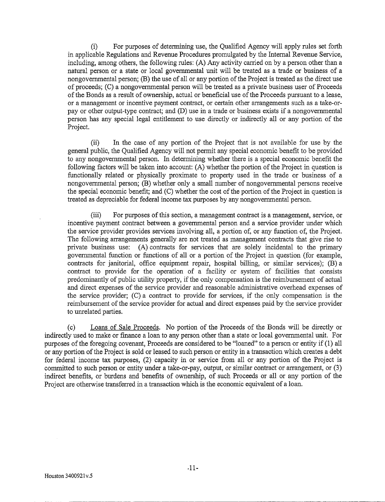(i) For purposes of determining use, the Qualified Agency will apply rules set forth in applicable Regulations and Revenue Procedures promulgated by the Internal Revenue Service, including, among others, the following rules: (A) Any activity carried on by a person other than a natural person or a state or local governmental unit will be treated as a trade or business of a nongovernmental person; (B) the use of all or any portion of the Project is treated as the direct use of proceeds; (C) a nongovernmental person will be treated as a private business user of Proceeds of the Bonds as a result of ownership, actual or beneficial use of the Proceeds pursuant to a lease, or a management or incentive payment contract, or certain other arrangements such as a take-orpay or other output-type contract; and (D) use in a trade or business exists if a nongovernmental person has any special legal entitlement to use directly or indirectly all or any portion of the Project.

(ii) In the case of any portion of the Project that is not available for use by the general public, the Qualified Agency will not permit any special economic benefit to be provided to any nongovernmental person. In determining whether there is a special economic benefit the following factors will be taken into account: (A) whether the portion of the Project in question is functionally related or physically proximate to property used in the trade or business of a nongovernmental person; (B) whether only a small number of nongovernmental persons receive the special economic benefit; and (C) whether the cost of the portion of the Project in question is treated as depreciable for federal income tax purposes by any nongovernmental person.

(iii) For purposes of this section, a management contract is a management, service, or incentive payment contract between a governmental person and a service provider under which the service provider provides services involving all, a portion of, or any function of, the Project. The following arrangements generally are not treated as management contracts that give rise to private business use: (A) contracts for services that are solely incidental to the primary governmental function or functions of all or a portion of the Project in question (for example, contracts for janitorial, office equipment repair, hospital billing, or similar services); (B) a contract to provide for the operation of a facility or system of facilities that consists predominantly of public utility property, if the only compensation is the reimbursement of actual and direct expenses of the service provider and reasonable administrative overhead expenses of the service provider; (C) a contract to provide for services, if the only compensation is the reimbursement of the service provider for actual and direct expenses paid by the service provider to unrelated parties.

(c) Loans of Sale Proceeds. No portion of the Proceeds of the Bonds will be directly or indirectly used to make or finance a loan to any person other than a state or local governmental unit. For purposes of the foregoing covenant, Proceeds are considered to be "loaned" to a person or entity if (1) all or any portion of the Project is sold or leased to such person or entity in a transaction which creates a debt for federal income tax purposes, (2) capacity in or service from all or any portion of the Project is committed to such person or entity under a take-or-pay, output, or similar contract or arrangement, or (3) indirect benefits, or burdens and benefits of ownership, of such Proceeds or all or any portion of the Project are otherwise transferred in a transaction which is the economic equivalent of a loan.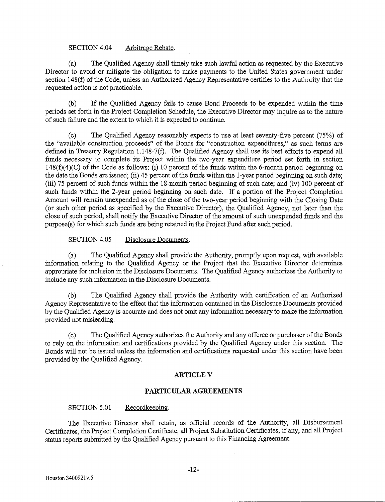## SECTION 4.04 Arbitrage Rebate.

(a) The Qualified Agency shall timely take such lawful action as requested by the Executive Director to avoid or mitigate the obligation to make payments to the United States government under section 148(f) of the Code, unless an Authorized Agency Representative certifies to the Authority that the requested action is not practicable.

(b) If the Qualified Agency fails to cause Bond Proceeds to be expended within the time periods set forth in the Project Completion Schedule, the Executive Director may inquire as to the nature of such failure and the extent to which it is expected to continue.

(c) The Qualified Agency reasonably expects to use at least seventy-five percent (75%) of the "available construction proceeds" of the Bonds for "construction expenditures," as such terms are defined in Treasury Regulation 1.148-7(f). The Qualified Agency shall use its best efforts to expend all funds necessary to complete its Project within the two-year expenditure period set forth in section  $148(f)(4)(C)$  of the Code as follows: (i) 10 percent of the funds within the 6-month period beginning on the date the Bonds are issued; (ii) 45 percent of the funds within the 1-year period beginning on such date; (iii) 75 percent of such funds within the 18-month period beginning of such date; and (iv) 100 percent of such funds within the 2-year period beginning on such date. If a portion of the Project Completion Amount will remain unexpended as of the close of the two-year period beginning with the Closing Date (or such other period as specified by the Executive Director), the Qualified Agency, not later than the close of such period, shall notify the Executive Director of the amount of such unexpended funds and the purpose( s) for which such funds are being retained in the Project Fund after such period.

SECTION 4.05 Disclosure Documents.

(a) The Qualified Agency shall provide the Authority, promptly upon request, with available information relating to the Qualified Agency or the Project that the Executive Director determines appropriate for inclusion in the Disclosure Documents. The Qualified Agency authorizes the Authority to include any such information in the Disclosure Documents.

(b) The Qualified Agency shall provide the Authority with certification of an Authorized Agency Representative to the effect that the infonnation contained in the Disclosure Documents provided by the Qualified Agency is accurate and does not omit any information necessary to make the information provided not misleading.

(c) The Qualified Agency authorizes the Authority and any offeree or purchaser of the Bonds to rely on the information and certifications provided by the Qualified Agency under this section. The Bonds will not be issued unless the information and certifications requested under this section have been provided by the Qualified Agency.

## **ARTICLEV**

## **PARTICULAR AGREEMENTS**

## SECTION 5.01 Recordkeeping.

The Executive Director shall retain, as official records of the Authority, all Disbursement Certificates, the Project Completion Certificate, all Project Substitution Certificates, if any, and all Project status reports submitted by the Qualified Agency pursuant to this Financing Agreement.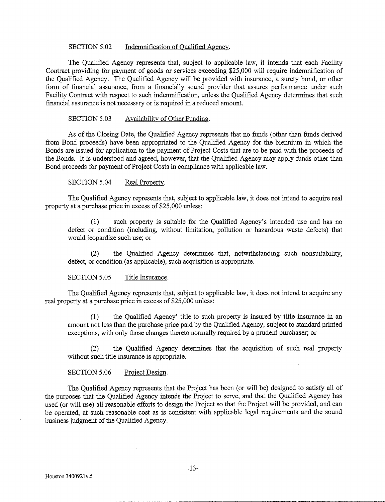## SECTION 5.02 Indemnification of Qualified Agency.

The Qualified Agency represents that, subject to applicable law, it intends that each Facility Contract providing for payment of goods or services exceeding \$25,000 will require indemnification of the Qualified Agency. The Qualified Agency will be provided with insurance, a surety bond, or other form of financial assurance, from a financially sound provider that assures performance under such Facility Contract with respect to such indemnification, unless the Qualified Agency determines that such financial assurance is not necessary or is required in a reduced amount.

## SECTION 5.03 Availability of Other Funding.

As of the Closing Date, the Qualified Agency represents that no funds (other than funds derived from Bond proceeds) have been appropriated to the Qualified Agency for the biennium in which the Bonds are issued for application to the payment of Project Costs that are to be paid with the proceeds of the Bonds. It is understood and agreed, however, that the Qualified Agency may apply funds other than Bond proceeds for payment of Project Costs in compliance with applicable law.

## SECTION 5.04 Real Property.

The Qualified Agency represents that, subject to applicable law, it does not intend to acquire real property at a purchase price in excess of \$25,000 unless:

(1) such property is suitable for the Qualified Agency's intended use and has no defect or condition (including, without limitation, pollution or hazardous waste defects) that would jeopardize such use; or

(2) the Qualified Agency determines that, notwithstanding such nonsuitability, defect, or condition (as applicable), such acquisition is appropriate.

## SECTION 5.05 Title Insurance.

The Qualified Agency represents that, subject to applicable law, it does not intend to acquire any real property at a purchase price in excess of \$25,000 unless:

(1) the Qualified Agency' title to such property is insured by title insurance in an amount not less than the purchase price paid by the Qualified Agency, subject to standard printed exceptions, with only those changes thereto normally required by a prudent purchaser; or

(2) the Qualified Agency determines that the acquisition of such real property without such title insurance is appropriate.

## SECTION 5.06 Project Design.

The Qualified Agency represents that the Project has been (or will be) designed to satisfy all of the purposes that the Qualified Agency intends the Project to serve, and that the Qualified Agency has used (or will use) all reasonable efforts to design the Project so that the Project will be provided, and can be operated, at such reasonable cost as is consistent with applicable legal requirements and the sound business judgment of the Qualified Agency.

--- ·-·----·-----·-··-----··-·-----------~~-------~----·-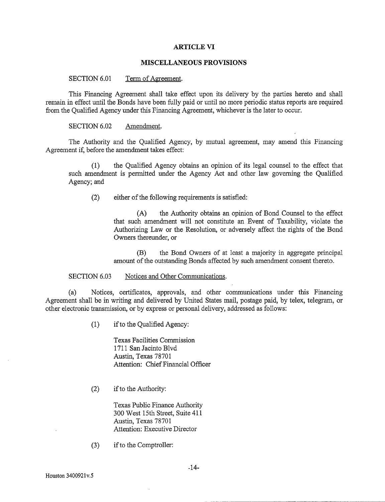#### **ARTICLE VI**

## **MISCELLANEOUS PROVISIONS**

#### SECTION 6.01 Term of Agreement.

This Financing Agreement shall take effect upon its delivery by the parties hereto and shall remain in effect until the Bonds have been fully paid or until no more periodic status reports are required from the Qualified Agency under this Financing Agreement, whichever is the later to occur.

#### SECTION 6.02 Amendment.

The Authority and the Qualified Agency, by mutual agreement, may amend this Financing Agreement if, before the amendment takes effect:

(1) the Qualified Agency obtains an opinion of its legal counsel to the effect that such amendment is permitted under the Agency Act and other law governing the Qualified Agency; and

(2) either of the following requirements is satisfied:

(A) the Authority obtains an opinion of Bond Counsel to the effect that such amendment will not constitute an Event of Taxability, violate the Authorizing Law or the Resolution, or adversely affect the rights of the Bond Owners thereunder, or

(B) the Bond Owners of at least a majority in aggregate principal amount of the outstanding Bonds affected by such amendment consent thereto.

#### SECTION 6.03 Notices and Other Communications.

(a) Notices, certificates, approvals, and other communications under this Financing Agreement shall be in writing and delivered by United States mail, postage paid, by telex, telegram, or other electronic transmission, or by express or personal delivery, addressed as follows:

(1) ifto the Qualified Agency:

Texas Facilities Commission 1711 San Jacinto Blvd Austin, Texas 78701 Attention: Chief Financial Officer

 $(2)$  if to the Authority:

Texas Public Finance Authority 300 West 15th Street, Suite 411 Austin, Texas 78701 Attention: Executive Director

(3) if to the Comptroller: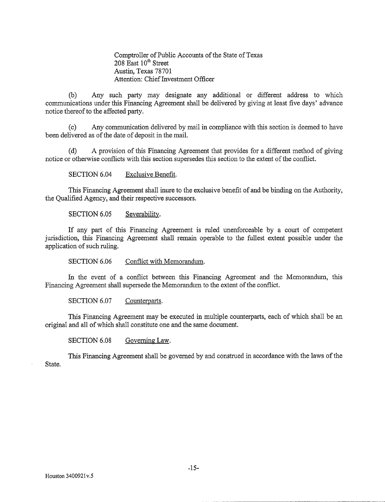Comptroller of Public Accounts of the State of Texas  $208$  East  $10<sup>th</sup>$  Street Austin, Texas 78701 Attention: Chief Investment Officer

(b) Any such party may designate any additional or different address to which communications under this Financing Agreement shall be delivered by giving at least five days' advance notice thereof to the affected party.

(c) Any communication delivered by mail in compliance with this section is deemed to have been delivered as of the date of deposit in the mail.

(d) A provision of this Financing Agreement that provides for a different method of giving notice or otherwise conflicts with this section supersedes this section to the extent of the conflict.

SECTION 6.04 Exclusive Benefit.

This Financing Agreement shall inure to the exclusive benefit of and be binding on the Authority, the Qualified Agency, and their respective successors.

SECTION 6.05 Severability.

If any part of this Financing Agreement is ruled unenforceable by a court of competent jurisdiction, this Financing Agreement shall remain operable to the fullest extent possible under the application of such ruling.

SECTION 6.06 Conflict with Memorandum.

In the event of a conflict between this Financing Agreement and the Memorandum, this Financing Agreement shall supersede the Memorandum to the extent of the conflict.

SECTION 6.07 Counterparts.

This Financing Agreement may be executed in multiple counterparts, each of which shall be an original and all of which shall constitute one and the same document.

SECTION 6.08 Governing Law.

This Financing Agreement shall be governed by and construed in accordance with the laws of the State.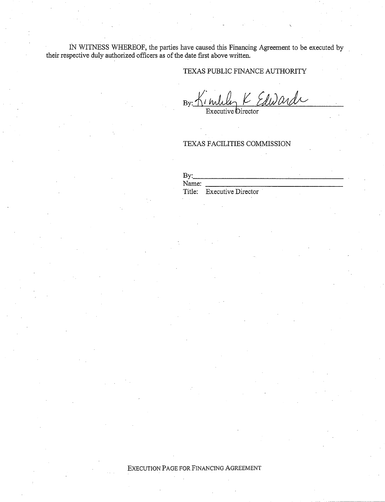IN WITNESS WHEREOF, the parties have caused this Financing Agreement to be executed by their respective duly authorized officers as of the date first above written.

## TEXAS PUBLIC FINANCE AUTHORITY

By: Kimuly K Edwards

Executive Director

# TEXAS FACILITIES COMMISSION

| $\mathbf{B} \mathbf{v}$ |                           |  |
|-------------------------|---------------------------|--|
| Name:                   |                           |  |
|                         | Title: Executive Director |  |

EXECUTION PAGE FOR FINANCING AGREEMENT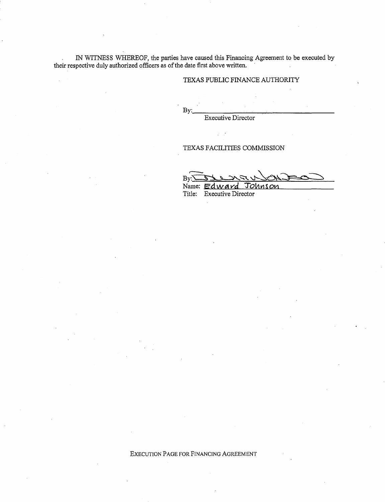IN WITNESS WHEREOF, the parties have caused this Financing Agreement to be executed by their respective duly authorized officers as of the date first above written.

## TEXAS PUBLIC FINANCE AUTHORITY

 $By:\_\_\_\_\_\_\_\_\_$ 

Executive Director

 $\mathcal{A}$ 

## TEXAS FACILITIES COMMISSION

 $B_{\rm F}$  $\frac{B_{\rm F}T}{T}$ Name: *Edward* Johnson

Title: Executive Director

#### EXECUTION PAGE FOR FINANCING AGREEMENT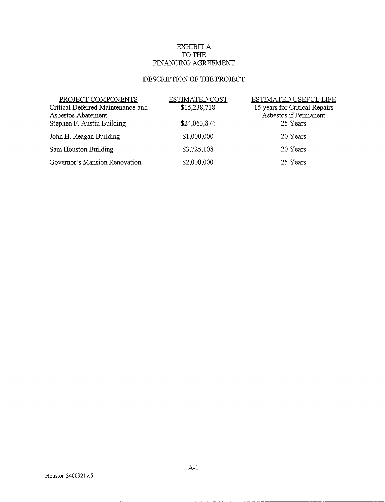# EXHIBIT A TO THE FINANCING AGREEMENT

# DESCRIPTION OF THE PROJECT

| PROJECT COMPONENTS                | <b>ESTIMATED COST</b> | ESTIMATED USEFUL LIFE         |
|-----------------------------------|-----------------------|-------------------------------|
| Critical Deferred Maintenance and | \$15,238,718          | 15 years for Critical Repairs |
| Asbestos Abatement                |                       | Asbestos if Permanent         |
| Stephen F. Austin Building        | \$24,063,874          | 25 Years                      |
| John H. Reagan Building           | \$1,000,000           | 20 Years                      |
| Sam Houston Building              | \$3,725,108           | 20 Years                      |
| Governor's Mansion Renovation     | \$2,000,000           | 25 Years                      |

 $\sim$ 

 $\bar{t}$ 

t,

------------------- -----

 $\mathcal{A}^{\mathcal{A}}$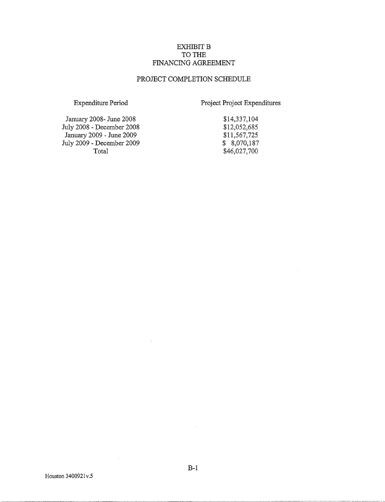## EXHIBIT B TO THE FINANCING AGREEMENT

## PROJECT COMPLETION SCHEDULE

Expenditure Period

Project Project Expenditures

January 2008- June 2008 July 2008 - December 2008 January 2009- June 2009 July 2009 -December 2009 Total

\$14,337,104 \$12,052,685 \$11,567,725 \$ 8,070,187 \$46,027,700

 $\bar{z}$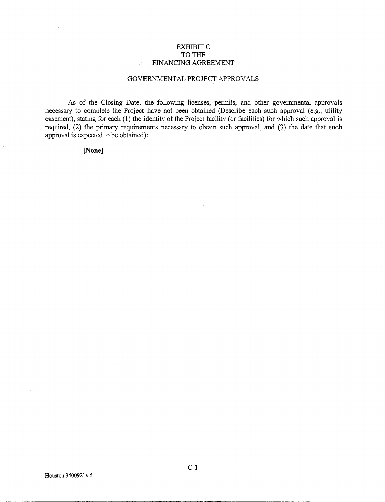## EXHIBITC TO THE *)* FINANCING AGREEMENT

## GOVERNMENTAL PROJECT APPROVALS

As of the Closing Date, the following licenses, permits, and other governmental approvals necessary to complete the Project have not been obtained (Describe each such approval (e.g., utility easement), stating for each (1) the identity of the Project facility (or facilities) for which such approval is required, (2) the primary requirements necessary to obtain such approval, and (3) the date that such approval is expected to be obtained):

## **[None]**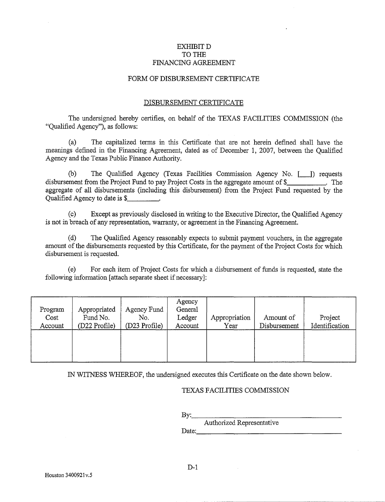## EXHIBITD TO THE FINANCING AGREEMENT

## FORM OF DISBURSEMENT CERTIFICATE

#### DISBURSEMENT CERTIFICATE

The undersigned hereby certifies, on behalf of the TEXAS FACILITIES COMMISSION (the "Qualified Agency"), as follows:

(a) The capitalized terms in this Certificate that are not herein defined shall have the meanings defmed in the Financing Agreement, dated as of December 1, 2007, between the Qualified Agency and the Texas Public Finance Authority.

(b) The Qualified Agency (Texas Facilities Commission Agency No. [\_\_J) requests disbursement from the Project Fund to pay Project Costs in the aggregate amount of\$ . The aggregate of all disbursements (including this disbursement) from the Project Fund requested by the Qualified Agency to date is \$

(c) Except as previously disclosed in writing to the Executive Director, the Qualified Agency is not in breach of any representation, warranty, or agreement in the Financing Agreement.

(d) The Qualified Agency reasonably expects to submit payment vouchers, in the aggregate amount of the disbursements requested by this Certificate, for the payment of the Project Costs for which disbursement is requested.

 $(e)$  For each item of Project Costs for which a disbursement of funds is requested, state the following information [attach separate sheet if necessary]:

| Program<br>Cost<br>Account | Appropriated<br>Fund No.<br>(D22 Profile) | Agency Fund<br>No.<br>(D23 Profile) | Agency<br>General<br>Ledger<br>Account | Appropriation<br>Year | Amount of<br>Disbursement | Project<br>Identification |
|----------------------------|-------------------------------------------|-------------------------------------|----------------------------------------|-----------------------|---------------------------|---------------------------|
|                            |                                           |                                     |                                        |                       |                           |                           |

IN WITNESS WHEREOF, the undersigned executes this Certificate on the date shown below.

## TEXAS FACILITIES COMMISSION

 $Bv:$ Authorized Representative<br>Date: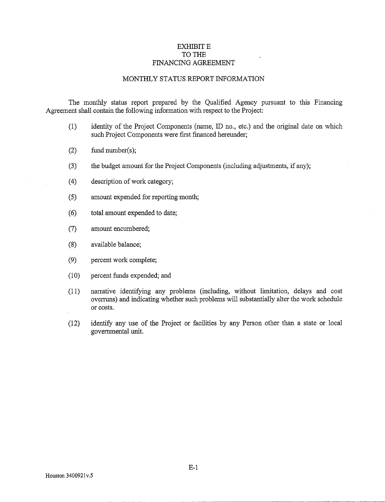## EXHIBIT E TO THE FINANCING AGREEMENT

## MONTHLY STATUS REPORT INFORMATION

The monthly status report prepared by the Qualified Agency pursuant to this Financing Agreement shall contain the following information with respect to the Project:

- (1) identity of the Project Components (name, ID no., etc.) and the original date on which such Project Components were first financed hereunder;
- (2) fund number(s);
- (3) the budget amount for the Project Components (including adjustments, if any);
- (4) description of work category;
- (5) amount expended for reporting month;
- ( 6) total amount expended to date;
- (7) amount encumbered;
- (8) available balance;
- (9) percent work complete;
- (10) percent funds expended; and
- (11) narrative identifying any problems (including, without limitation, delays and cost overruns) and indicating whether such problems will substantially alter the work schedule or costs.
- (12) identify any use of the Project or facilities by any Person other than a state or local governmental unit.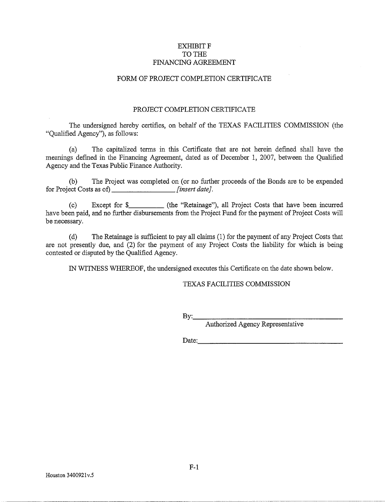## EXHIBIT F TO THE FINANCING AGREEMENT

## FORM OF PROJECT COMPLETION CERTIFICATE

#### PROJECT COMPLETION CERTIFICATE

The undersigned hereby certifies, on behalf of the TEXAS FACILITIES COMMISSION (the "Qualified Agency"), as follows:

(a) The capitalized terms in this Certificate that are not herein defined shall have the meanings defmed in the Financing Agreement, dated as of December 1, 2007, between the Qualified Agency and the Texas Public Finance Authority.

(b) The Project was completed on (or no further proceeds of the Bonds are to be expended for Project Costs as of) *[insert date]*.

(c) Except for \$ (the "Retainage"), all Project Costs that have been incurred have been paid, and no further disbursements from the Project Fund for the payment of Project Costs will be necessary.

(d) The Retainage is sufficient to pay all claims (1) for the payment of any Project Costs that are not presently due, and (2) for the payment of any Project Costs the liability for which is being contested or disputed by the Qualified Agency.

IN WITNESS WHEREOF, the undersigned executes this Certificate on the date shown below.

## TEXAS FACILITIES COMMISSION

By:. \_\_\_\_\_\_\_\_\_\_\_\_\_\_\_\_ \_

Authorized Agency Representative

 $Date:$